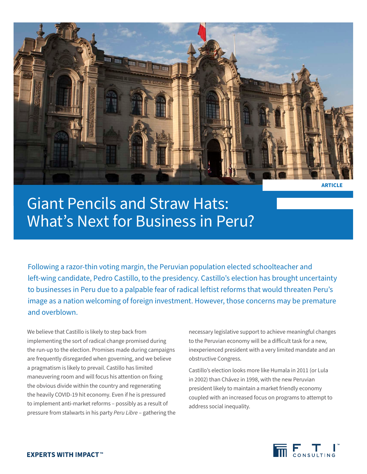

Giant Pencils and Straw Hats: What's Next for Business in Peru?

Following a razor-thin voting margin, the Peruvian population elected schoolteacher and left-wing candidate, Pedro Castillo, to the presidency. Castillo's election has brought uncertainty to businesses in Peru due to a palpable fear of radical leftist reforms that would threaten Peru's image as a nation welcoming of foreign investment. However, those concerns may be premature and overblown.

We believe that Castillo is likely to step back from implementing the sort of radical change promised during the run-up to the election. Promises made during campaigns are frequently disregarded when governing, and we believe a pragmatism is likely to prevail. Castillo has limited maneuvering room and will focus his attention on fixing the obvious divide within the country and regenerating the heavily COVID-19 hit economy. Even if he is pressured to implement anti-market reforms – possibly as a result of pressure from stalwarts in his party *Peru Libre* – gathering the necessary legislative support to achieve meaningful changes to the Peruvian economy will be a difficult task for a new, inexperienced president with a very limited mandate and an obstructive Congress.

Castillo's election looks more like Humala in 2011 (or Lula in 2002) than Chávez in 1998, with the new Peruvian president likely to maintain a market friendly economy coupled with an increased focus on programs to attempt to address social inequality.

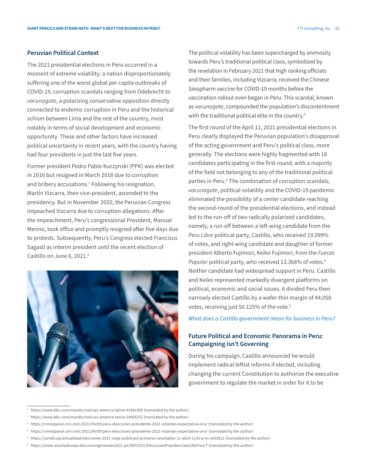## **Peruvian Political Context**

The 2021 presidential elections in Peru occurred in a moment of extreme volatility: a nation disproportionately suffering one of the worst global per capita outbreaks of COVID-19, corruption scandals ranging from Odebrecht to *vacunagate*, a polarizing conservative opposition directly connected to endemic corruption in Peru and the historical schism between Lima and the rest of the country, most notably in terms of social development and economic opportunity. These and other factors have increased political uncertainty in recent years, with the country having had four presidents in just the last five years.

Former president Pedro Pablo Kuczynski (PPK) was elected in 2016 but resigned in March 2018 due to corruption and bribery accusations.<sup>1</sup> Following his resignation, Martín Vizcarra, then vice-president, ascended to the presidency. But in November 2020, the Peruvian Congress impeached Vizcarra due to corruption allegations. After the impeachment, Peru's congressional President, Manuel Merino, took office and promptly resigned after five days due to protests. Subsequently, Peru's Congress elected Francisco Sagasti as interim president until the recent election of Castillo on June 6, 2021.<sup>2</sup>



The political volatility has been supercharged by animosity towards Peru's traditional political class, symbolized by the revelation in February 2021 that high ranking officials and their families, including Vizcarra, received the Chinese Sinopharm vaccine for COVID-19 months before the vaccination rollout even began in Peru. This scandal, known as *vacunagate*, compounded the population's discontentment with the traditional political elite in the country.<sup>3</sup>

The first round of the April 11, 2021 presidential elections in Peru clearly displayed the Peruvian population's disapproval of the acting government and Peru's political class, more generally. The elections were highly fragmented with 18 candidates participating in the first round, with a majority of the field not belonging to any of the traditional political parties in Peru.4 The combination of corruption scandals, *vacunagate*, political volatility and the COVID-19 pandemic eliminated the possibility of a center candidate reaching the second-round of the presidential elections, and instead led to the run-off of two radically polarized candidates; namely, a run-off between a left-wing candidate from the *Peru Libre* political party, Castillo, who received 19.099% of votes, and right-wing candidate and daughter of former president Alberto Fujimori, Keiko Fujimori, from the *Fuerza Popular* political party, who received 13.368% of votes.<sup>5</sup> Neither candidate had widespread support in Peru. Castillo and Keiko represented markedly divergent platforms on political, economic and social issues. A divided Peru then narrowly elected Castillo by a wafer-thin margin of 44,058 votes, receiving just 50.125% of the vote.<sup>6</sup>

*What does a Castillo government mean for business in Peru?*

# **Future Political and Economic Panorama in Peru: Campaigning isn't Governing**

During his campaign, Castillo announced he would implement radical leftist reforms if elected, including changing the current Constitution to authorize the executive government to regulate the market in order for it to be

<sup>&</sup>lt;sup>1</sup> https://www.bbc.com/mundo/noticias-america-latina-43481060 (translated by the author)

<sup>&</sup>lt;sup>2</sup> https://www.bbc.com/mundo/noticias-america-latina-54965252 (translated by the author)

<sup>3</sup> https://cnnespanol.cnn.com/2021/04/09/peru-elecciones-presidente-2021-votantes-expectativa-orix/ (translated by the author)

<sup>4</sup> https://cnnespanol.cnn.com/2021/04/09/peru-elecciones-presidente-2021-votantes-expectativa-orix/ (translated by the author)

<sup>5</sup> https://canaln.pe/actualidad/elecciones-2021-onpe-publicara-primeros-resultados-11-abril-1130-p-m-n433611 (translated by the author)

<sup>6</sup> https://www.resultadossep.eleccionesgenerales2021.pe/SEP2021/EleccionesPresidenciales/RePres/T (translated by the author)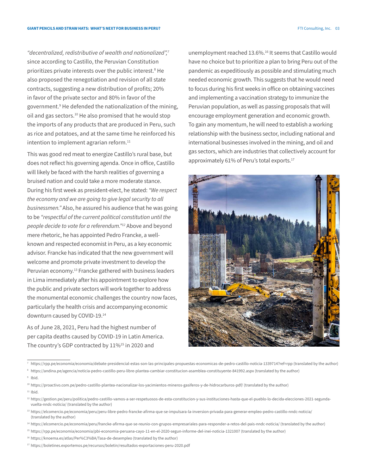*"decentralized, redistributive of wealth and nationalized",7* since according to Castillo, the Peruvian Constitution prioritizes private interests over the public interest.<sup>8</sup> He also proposed the renegotiation and revision of all state contracts, suggesting a new distribution of profits; 20% in favor of the private sector and 80% in favor of the government.9 He defended the nationalization of the mining, oil and gas sectors.<sup>10</sup> He also promised that he would stop the imports of any products that are produced in Peru, such as rice and potatoes, and at the same time he reinforced his intention to implement agrarian reform.<sup>11</sup>

This was good red meat to energize Castillo's rural base, but does not reflect his governing agenda. Once in office, Castillo will likely be faced with the harsh realities of governing a bruised nation and could take a more moderate stance. During his first week as president-elect, he stated: *"We respect the economy and we are going to give legal security to all businessmen."* Also, he assured his audience that he was going to be *"respectful of the current political constitution until the people decide to vote for a referendum."12* Above and beyond mere rhetoric, he has appointed Pedro Francke, a wellknown and respected economist in Peru, as a key economic advisor. Francke has indicated that the new government will welcome and promote private investment to develop the Peruvian economy.<sup>13</sup> Francke gathered with business leaders in Lima immediately after his appointment to explore how the public and private sectors will work together to address the monumental economic challenges the country now faces, particularly the health crisis and accompanying economic downturn caused by COVID-19.14

As of June 28, 2021, Peru had the highest number of per capita deaths caused by COVID-19 in Latin America. The country's GDP contracted by 11%<sup>15</sup> in 2020 and

unemployment reached 13.6%.<sup>16</sup> It seems that Castillo would have no choice but to prioritize a plan to bring Peru out of the pandemic as expeditiously as possible and stimulating much needed economic growth. This suggests that he would need to focus during his first weeks in office on obtaining vaccines and implementing a vaccination strategy to immunize the Peruvian population, as well as passing proposals that will encourage employment generation and economic growth. To gain any momentum, he will need to establish a working relationship with the business sector, including national and international businesses involved in the mining, and oil and gas sectors, which are industries that collectively account for approximately 61% of Peru's total exports.<sup>17</sup>



<sup>7</sup> https://rpp.pe/economia/economia/debate-presidencial-estas-son-las-principales-propuestas-economicas-de-pedro-castillo-noticia-1339714?ref=rpp (translated by the author)

<sup>8</sup> https://andina.pe/agencia/noticia-pedro-castillo-peru-libre-plantea-cambiar-constitucion-asamblea-constituyente-841992.aspx (translated by the author)

<sup>9</sup> [Ibid.](https://andina.pe/agencia/noticia-pedro-castillo-peru-libre-plantea-cambiar-constitucion-asamblea-constituyente-841992.aspx)

<sup>10</sup> https://proactivo.com.pe/pedro-castillo-plantea-nacionalizar-los-yacimientos-mineros-gasiferos-y-de-hidrocarburos-pdf/ (translated by the author)  $11$  [Ibid.](https://proactivo.com.pe/pedro-castillo-plantea-nacionalizar-los-yacimientos-mineros-gasiferos-y-de-hidrocarburos-pdf/)

<sup>12</sup> https://gestion.pe/peru/politica/pedro-castillo-vamos-a-ser-respetuosos-de-esta-constitucion-y-sus-instituciones-hasta-que-el-pueblo-lo-decida-elecciones-2021-segundavuelta-nndc-noticia/ (translated by the author)

<sup>&</sup>lt;sup>13</sup> https://elcomercio.pe/economia/peru/peru-libre-pedro-francke-afirma-que-se-impulsara-la-inversion-privada-para-generar-empleo-pedro-castillo-nndc-noticia/ (translated by the author)

<sup>14</sup> https://elcomercio.pe/economia/peru/francke-afirma-que-se-reunio-con-grupos-empresariales-para-responder-a-retos-del-pais-nndc-noticia/ (translated by the author)

<sup>15</sup> https://rpp.pe/economia/economia/pbi-economia-peruana-cayo-11-en-el-2020-segun-informe-del-inei-noticia-1321007 (translated by the author)

<sup>16</sup> https://knoema.es/atlas/Per%C3%BA/Tasa-de-desempleo (translated by the author)

<sup>17</sup> https://boletines.exportemos.pe/recursos/boletin/resultados-exportaciones-peru-2020.pdf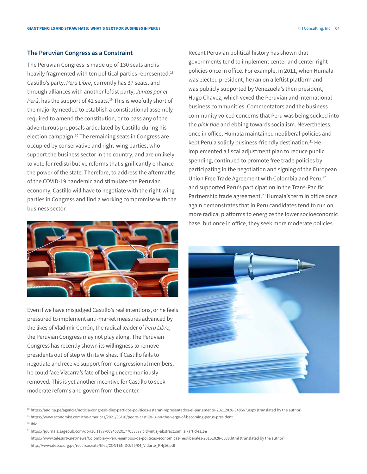#### **The Peruvian Congress as a Constraint**

The Peruvian Congress is made up of 130 seats and is heavily fragmented with ten political parties represented.<sup>18</sup> Castillo's party, *Peru Libre*, currently has 37 seats, and through alliances with another leftist party, *Juntos por el*  Perú, has the support of 42 seats.<sup>19</sup> This is woefully short of the majority needed to establish a constitutional assembly required to amend the constitution, or to pass any of the adventurous proposals articulated by Castillo during his election campaign.20 The remaining seats in Congress are occupied by conservative and right-wing parties, who support the business sector in the country, and are unlikely to vote for redistributive reforms that significantly enhance the power of the state. Therefore, to address the aftermaths of the COVID-19 pandemic and stimulate the Peruvian economy, Castillo will have to negotiate with the right-wing parties in Congress and find a working compromise with the business sector.



Even if we have misjudged Castillo's real intentions, or he feels pressured to implement anti-market measures advanced by the likes of Vladimir Cerrón, the radical leader of *Peru Libre*, the Peruvian Congress may not play along. The Peruvian Congress has recently shown its willingness to remove presidents out of step with its wishes. If Castillo fails to negotiate and receive support from congressional members, he could face Vizcarra's fate of being unceremoniously removed. This is yet another incentive for Castillo to seek moderate reforms and govern from the center.

Recent Peruvian political history has shown that governments tend to implement center and center-right policies once in office. For example, in 2011, when Humala was elected president, he ran on a leftist platform and was publicly supported by Venezuela's then president, Hugo Chavez, which vexed the Peruvian and international business communities. Commentators and the business community voiced concerns that Peru was being sucked into the *pink tide* and ebbing towards socialism. Nevertheless, once in office, Humala maintained neoliberal policies and kept Peru a solidly business-friendly destination.<sup>21</sup> He implemented a fiscal adjustment plan to reduce public spending, continued to promote free trade policies by participating in the negotiation and signing of the European Union Free Trade Agreement with Colombia and Peru,<sup>22</sup> and supported Peru's participation in the Trans-Pacific Partnership trade agreement.<sup>23</sup> Humala's term in office once again demonstrates that in Peru candidates tend to run on more radical platforms to energize the lower socioeconomic base, but once in office, they seek more moderate policies.



<sup>18</sup> https://andina.pe/agencia/noticia-congreso-diez-partidos-politicos-estaran-representados-el-parlamento-20212026-848567.aspx (translated by the author)

 $20$  [Ibid.](https://www.economist.com/the-americas/2021/06/10/pedro-castillo-is-on-the-verge-of-becoming-perus-president)

<sup>19</sup> https://www.economist.com/the-americas/2021/06/10/pedro-castillo-is-on-the-verge-of-becoming-perus-president

<sup>21</sup> https://journals.sagepub.com/doi/10.1177/0094582X17705867?icid=int.sj-abstract.similar-articles.1&

<sup>22</sup> https://www.telesurtv.net/news/Colombia-y-Peru-ejemplos-de-politicas-economicas-neoliberales-20151028-0038.html (translated by the author)

<sup>23</sup> http://www.desco.org.pe/recursos/site/files/CONTENIDO/29/04\_Vidarte\_PHj16.pdf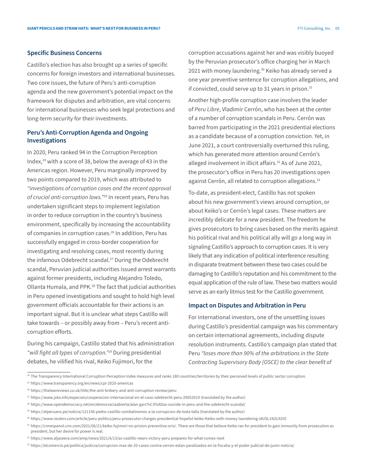#### **Specific Business Concerns**

Castillo's election has also brought up a series of specific concerns for foreign investors and international businesses. Two core issues, the future of Peru's anti-corruption agenda and the new government's potential impact on the framework for disputes and arbitration, are vital concerns for international businesses who seek legal protections and long-term security for their investments.

## **Peru's Anti-Corruption Agenda and Ongoing Investigations**

In 2020, Peru ranked 94 in the Corruption Perception Index,<sup>24</sup> with a score of 38, below the average of 43 in the Americas region. However, Peru marginally improved by two points compared to 2019, which was attributed to *"investigations of corruption cases and the recent approval of crucial anti-corruption laws."*25 In recent years, Peru has undertaken significant steps to implement legislation in order to reduce corruption in the country's business environment, specifically by increasing the accountability of companies in corruption cases.<sup>26</sup> In addition, Peru has successfully engaged in cross-border cooperation for investigating and resolving cases, most recently during the infamous Odebrecht scandal.<sup>27</sup> During the Odebrecht scandal, Peruvian judicial authorities issued arrest warrants against former presidents, including Alejandro Toledo, Ollanta Humala, and PPK.28 The fact that judicial authorities in Peru opened investigations and sought to hold high level government officials accountable for their actions is an important signal. But it is unclear what steps Castillo will take towards – or possibly away from – Peru's recent anticorruption efforts.

During his campaign, Castillo stated that his administration *"will fight all types of corruption."29* During presidential debates, he vilified his rival, Keiko Fujimori, for the

corruption accusations against her and was visibly buoyed by the Peruvian prosecutor's office charging her in March 2021 with money laundering.<sup>30</sup> Keiko has already served a one year preventive sentence for corruption allegations, and if convicted, could serve up to 31 years in prison.<sup>31</sup>

Another high-profile corruption case involves the leader of *Peru Libre*, Vladimir Cerrón, who has been at the center of a number of corruption scandals in Peru. Cerrón was barred from participating in the 2021 presidential elections as a candidate because of a corruption conviction. Yet, in June 2021, a court controversially overturned this ruling, which has generated more attention around Cerrón's alleged involvement in illicit affairs.<sup>32</sup> As of June 2021, the prosecutor's office in Peru has 20 investigations open against Cerrón, all related to corruption allegations.<sup>33</sup>

To-date, as president-elect, Castillo has not spoken about his new government's views around corruption, or about Keiko's or Cerrón's legal cases. These matters are incredibly delicate for a new president. The freedom he gives prosecutors to bring cases based on the merits against his political rival and his political ally will go a long way in signaling Castillo's approach to corruption cases. It is very likely that any indication of political interference resulting in disparate treatment between these two cases could be damaging to Castillo's reputation and his commitment to the equal application of the rule of law. These two matters would serve as an early litmus test for the Castillo government.

### **Impact on Disputes and Arbitration in Peru**

For international investors, one of the unsettling issues during Castillo's presidential campaign was his commentary on certain international agreements, including dispute resolution instruments. Castillo's campaign plan stated that Peru *"loses more than 90% of the arbitrations in the State Contracting Supervisory Body (OSCE) to the clear benefit of* 

<sup>25</sup> https://www.transparency.org/en/news/cpi-2020-americas

<sup>&</sup>lt;sup>24</sup> The Transparency International Corruption Perception Index measures and ranks 180 countries/territories by their perceived levels of public sector corruption.

<sup>26</sup> https://thelawreviews.co.uk/title/the-anti-bribery-and-anti-corruption-review/peru

<sup>27</sup> https://www.jota.info/especiais/cooperacion-internacional-en-el-caso-odebrecht-peru-29052019 (translated by the author)

<sup>28</sup> https://www.opendemocracy.net/en/democraciaabierta/alan-garc%C3%ADas-suicide-in-peru-and-the-odebrecht-scandal/

<sup>29</sup> https://elperuano.pe/noticia/121158-pedro-castillo-combatiremos-a-la-corrupcion-de-toda-talla (translated by the author)

<sup>30</sup> https://www.reuters.com/article/peru-politics/peru-prosecutor-charges-presidential-hopeful-keiko-Keiko-with-money-laundering-idUSL1N2L92IO

<sup>31</sup> https://cnnespanol.cnn.com/2021/06/21/keiko-fujimori-no-prision-preventiva-orix/. There are those that believe Keiko ran for president to gain immunity from prosecution as president, but her desire for power is real.

<sup>32</sup> https://www.aljazeera.com/amp/news/2021/6/13/as-castillo-nears-victory-peru-prepares-for-what-comes-next

<sup>33</sup> https://elcomercio.pe/politica/justicia/corrupcion-mas-de-20-casos-contra-cerron-estan-paralizados-en-la-fiscalia-y-el-poder-judicial-de-junin-noticia/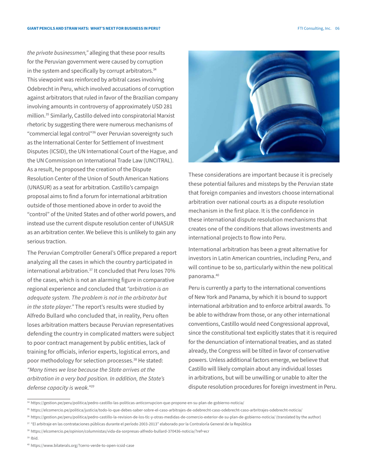*the private businessmen,"* alleging that these poor results for the Peruvian government were caused by corruption in the system and specifically by corrupt arbitrators.<sup>34</sup> This viewpoint was reinforced by arbitral cases involving Odebrecht in Peru, which involved accusations of corruption against arbitrators that ruled in favor of the Brazilian company involving amounts in controversy of approximately USD 281 million.35 Similarly, Castillo delved into conspiratorial Marxist rhetoric by suggesting there were numerous mechanisms of "commercial legal control"36 over Peruvian sovereignty such as the International Center for Settlement of Investment Disputes (ICSID), the UN International Court of the Hague, and the UN Commission on International Trade Law (UNCITRAL). As a result, he proposed the creation of the Dispute Resolution Center of the Union of South American Nations (UNASUR) as a seat for arbitration. Castillo's campaign proposal aims to find a forum for international arbitration outside of those mentioned above in order to avoid the "control" of the United States and of other world powers, and instead use the current dispute resolution center of UNASUR as an arbitration center. We believe this is unlikely to gain any serious traction.

The Peruvian Comptroller General's Office prepared a report analyzing all the cases in which the country participated in international arbitration.<sup>37</sup> It concluded that Peru loses 70% of the cases, which is not an alarming figure in comparative regional experience and concluded that *"arbitration is an adequate system. The problem is not in the arbitrator but in the state player."* The report's results were studied by Alfredo Bullard who concluded that, in reality, Peru often loses arbitration matters because Peruvian representatives defending the country in complicated matters were subject to poor contract management by public entities, lack of training for officials, inferior experts, logistical errors, and poor methodology for selection processes.<sup>38</sup> He stated: *"Many times we lose because the State arrives at the arbitration in a very bad position. In addition, the State's defense capacity is weak."39*



These considerations are important because it is precisely these potential failures and missteps by the Peruvian state that foreign companies and investors choose international arbitration over national courts as a dispute resolution mechanism in the first place. It is the confidence in these international dispute resolution mechanisms that creates one of the conditions that allows investments and international projects to flow into Peru.

International arbitration has been a great alternative for investors in Latin American countries, including Peru, and will continue to be so, particularly within the new political panorama.40

Peru is currently a party to the international conventions of New York and Panama, by which it is bound to support international arbitration and to enforce arbitral awards. To be able to withdraw from those, or any other international conventions, Castillo would need Congressional approval, since the constitutional text explicitly states that it is required for the denunciation of international treaties, and as stated already, the Congress will be tilted in favor of conservative powers. Unless additional factors emerge, we believe that Castillo will likely complain about any individual losses in arbitrations, but will be unwilling or unable to alter the dispute resolution procedures for foreign investment in Peru.

<sup>34</sup> https://gestion.pe/peru/politica/pedro-castillo-las-politicas-anticorrupcion-que-propone-en-su-plan-de-gobierno-noticia/

<sup>35</sup> https://elcomercio.pe/politica/justicia/todo-lo-que-debes-saber-sobre-el-caso-arbitrajes-de-odebrecht-caso-odebrecht-caso-arbritrajes-odebrecht-noticia/

<sup>36</sup> https://gestion.pe/peru/politica/pedro-castillo-la-revision-de-los-tlc-y-otras-medidas-de-comercio-exterior-de-su-plan-de-gobierno-noticia/ (translated by the author)

<sup>&</sup>lt;sup>37</sup> "El arbitraje en las contrataciones públicas durante el período 2003-2013" elaborado por la Contraloría General de la República

<sup>38</sup> https://elcomercio.pe/opinion/columnistas/vida-da-sorpresas-alfredo-bullard-370436-noticia/?ref=ecr

<sup>39</sup> [Ibid.](https://elcomercio.pe/opinion/columnistas/vida-da-sorpresas-alfredo-bullard-370436-noticia/?ref=ecr) 

<sup>40</sup> https://www.bilaterals.org/?cerro-verde-to-open-icsid-case